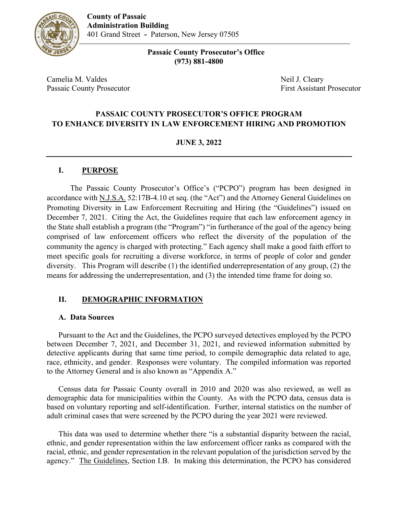

 **Passaic County Prosecutor's Office (973) 881-4800**

Camelia M. Valdes Neil J. Cleary Passaic County Prosecutor **First Assistant Prosecutor** First Assistant Prosecutor

#### **PASSAIC COUNTY PROSECUTOR'S OFFICE PROGRAM TO ENHANCE DIVERSITY IN LAW ENFORCEMENT HIRING AND PROMOTION**

#### **JUNE 3, 2022**

#### **I. PURPOSE**

The Passaic County Prosecutor's Office's ("PCPO") program has been designed in accordance with N.J.S.A. 52:17B-4.10 et seq. (the "Act") and the Attorney General Guidelines on Promoting Diversity in Law Enforcement Recruiting and Hiring (the "Guidelines") issued on December 7, 2021. Citing the Act, the Guidelines require that each law enforcement agency in the State shall establish a program (the "Program") "in furtherance of the goal of the agency being comprised of law enforcement officers who reflect the diversity of the population of the community the agency is charged with protecting." Each agency shall make a good faith effort to meet specific goals for recruiting a diverse workforce, in terms of people of color and gender diversity. This Program will describe (1) the identified underrepresentation of any group, (2) the means for addressing the underrepresentation, and (3) the intended time frame for doing so.

#### **II. DEMOGRAPHIC INFORMATION**

#### **A. Data Sources**

Pursuant to the Act and the Guidelines, the PCPO surveyed detectives employed by the PCPO between December 7, 2021, and December 31, 2021, and reviewed information submitted by detective applicants during that same time period, to compile demographic data related to age, race, ethnicity, and gender. Responses were voluntary. The compiled information was reported to the Attorney General and is also known as "Appendix A."

Census data for Passaic County overall in 2010 and 2020 was also reviewed, as well as demographic data for municipalities within the County. As with the PCPO data, census data is based on voluntary reporting and self-identification. Further, internal statistics on the number of adult criminal cases that were screened by the PCPO during the year 2021 were reviewed.

This data was used to determine whether there "is a substantial disparity between the racial, ethnic, and gender representation within the law enforcement officer ranks as compared with the racial, ethnic, and gender representation in the relevant population of the jurisdiction served by the agency." The Guidelines, Section I.B. In making this determination, the PCPO has considered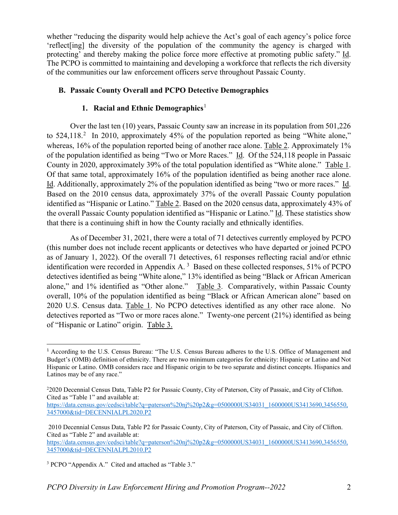whether "reducing the disparity would help achieve the Act's goal of each agency's police force 'reflect[ing] the diversity of the population of the community the agency is charged with protecting' and thereby making the police force more effective at promoting public safety." Id. The PCPO is committed to maintaining and developing a workforce that reflects the rich diversity of the communities our law enforcement officers serve throughout Passaic County.

#### **B. Passaic County Overall and PCPO Detective Demographics**

#### **1. Racial and Ethnic Demographics**[1](#page-1-0)

Over the last ten (10) years, Passaic County saw an increase in its population from 501,226 to  $524,118<sup>2</sup>$  $524,118<sup>2</sup>$  $524,118<sup>2</sup>$  In 2010, approximately 45% of the population reported as being "White alone," whereas, 16% of the population reported being of another race alone. Table 2. Approximately 1% of the population identified as being "Two or More Races." Id. Of the 524,118 people in Passaic County in 2020, approximately 39% of the total population identified as "White alone." Table 1. Of that same total, approximately 16% of the population identified as being another race alone. Id. Additionally, approximately 2% of the population identified as being "two or more races." Id. Based on the 2010 census data, approximately 37% of the overall Passaic County population identified as "Hispanic or Latino." Table 2. Based on the 2020 census data, approximately 43% of the overall Passaic County population identified as "Hispanic or Latino." Id. These statistics show that there is a continuing shift in how the County racially and ethnically identifies.

As of December 31, 2021, there were a total of 71 detectives currently employed by PCPO (this number does not include recent applicants or detectives who have departed or joined PCPO as of January 1, 2022). Of the overall 71 detectives, 61 responses reflecting racial and/or ethnic identification were recorded in Appendix A.<sup>[3](#page-1-2)</sup> Based on these collected responses, 51% of PCPO detectives identified as being "White alone," 13% identified as being "Black or African American alone," and 1% identified as "Other alone." Table 3. Comparatively, within Passaic County overall, 10% of the population identified as being "Black or African American alone" based on 2020 U.S. Census data. Table 1. No PCPO detectives identified as any other race alone. No detectives reported as "Two or more races alone." Twenty-one percent (21%) identified as being of "Hispanic or Latino" origin. Table 3.

<span id="page-1-0"></span><sup>1</sup> According to the U.S. Census Bureau: "The U.S. Census Bureau adheres to the U.S. Office of Management and Budget's (OMB) definition of ethnicity. There are two minimum categories for ethnicity: Hispanic or Latino and Not Hispanic or Latino. OMB considers race and Hispanic origin to be two separate and distinct concepts. Hispanics and Latinos may be of any race."

<span id="page-1-1"></span><sup>&</sup>lt;sup>2</sup>2020 Decennial Census Data, Table P2 for Passaic County, City of Paterson, City of Passaic, and City of Clifton. Cited as "Table 1" and available at:

[https://data.census.gov/cedsci/table?q=paterson%20nj%20p2&g=0500000US34031\\_1600000US3413690,3456550,](https://data.census.gov/cedsci/table?q=paterson%20nj%20p2&g=0500000US34031_1600000US3413690,3456550,3457000&tid=DECENNIALPL2020.P2) [3457000&tid=DECENNIALPL2020.P2](https://data.census.gov/cedsci/table?q=paterson%20nj%20p2&g=0500000US34031_1600000US3413690,3456550,3457000&tid=DECENNIALPL2020.P2)

<sup>2010</sup> Decennial Census Data, Table P2 for Passaic County, City of Paterson, City of Passaic, and City of Clifton. Cited as "Table 2" and available at:

[https://data.census.gov/cedsci/table?q=paterson%20nj%20p2&g=0500000US34031\\_1600000US3413690,3456550,](https://data.census.gov/cedsci/table?q=paterson%20nj%20p2&g=0500000US34031_1600000US3413690,3456550,3457000&tid=DECENNIALPL2010.P2) [3457000&tid=DECENNIALPL2010.P2](https://data.census.gov/cedsci/table?q=paterson%20nj%20p2&g=0500000US34031_1600000US3413690,3456550,3457000&tid=DECENNIALPL2010.P2)

<span id="page-1-2"></span><sup>3</sup> PCPO "Appendix A." Cited and attached as "Table 3."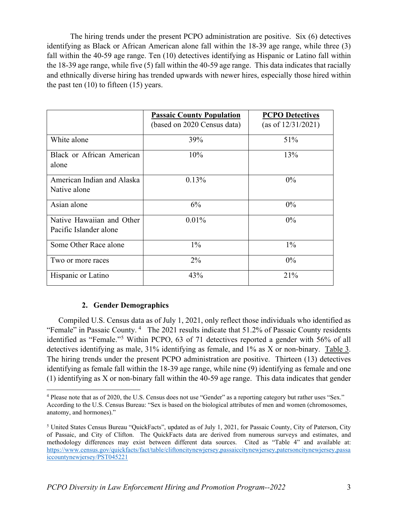The hiring trends under the present PCPO administration are positive. Six (6) detectives identifying as Black or African American alone fall within the 18-39 age range, while three (3) fall within the 40-59 age range. Ten (10) detectives identifying as Hispanic or Latino fall within the 18-39 age range, while five (5) fall within the 40-59 age range. This data indicates that racially and ethnically diverse hiring has trended upwards with newer hires, especially those hired within the past ten  $(10)$  to fifteen  $(15)$  years.

|                                                     | <b>Passaic County Population</b><br>(based on 2020 Census data) | <b>PCPO</b> Detectives<br>(as of $12/31/2021$ ) |
|-----------------------------------------------------|-----------------------------------------------------------------|-------------------------------------------------|
| White alone                                         | 39%                                                             | 51%                                             |
| Black or African American<br>alone                  | 10%                                                             | 13%                                             |
| American Indian and Alaska<br>Native alone          | 0.13%                                                           | $0\%$                                           |
| Asian alone                                         | 6%                                                              | $0\%$                                           |
| Native Hawaiian and Other<br>Pacific Islander alone | $0.01\%$                                                        | $0\%$                                           |
| Some Other Race alone                               | $1\%$                                                           | $1\%$                                           |
| Two or more races                                   | $2\%$                                                           | $0\%$                                           |
| Hispanic or Latino                                  | 43%                                                             | 21%                                             |

#### **2. Gender Demographics**

Compiled U.S. Census data as of July 1, 2021, only reflect those individuals who identified as "Female" in Passaic County. [4](#page-2-0) The 2021 results indicate that 51.2% of Passaic County residents identified as "Female."[5](#page-2-1) Within PCPO, 63 of 71 detectives reported a gender with 56% of all detectives identifying as male, 31% identifying as female, and 1% as X or non-binary. Table 3. The hiring trends under the present PCPO administration are positive. Thirteen (13) detectives identifying as female fall within the 18-39 age range, while nine (9) identifying as female and one (1) identifying as X or non-binary fall within the 40-59 age range. This data indicates that gender

<span id="page-2-0"></span><sup>4</sup> Please note that as of 2020, the U.S. Census does not use "Gender" as a reporting category but rather uses "Sex." According to the U.S. Census Bureau: "Sex is based on the biological attributes of men and women (chromosomes, anatomy, and hormones)."

<span id="page-2-1"></span><sup>5</sup> United States Census Bureau "QuickFacts", updated as of July 1, 2021, for Passaic County, City of Paterson, City of Passaic, and City of Clifton. The QuickFacts data are derived from numerous surveys and estimates, and methodology differences may exist between different data sources. Cited as "Table 4" and available at: [https://www.census.gov/quickfacts/fact/table/cliftoncitynewjersey,passaiccitynewjersey,patersoncitynewjersey,passa](https://www.census.gov/quickfacts/fact/table/cliftoncitynewjersey,passaiccitynewjersey,patersoncitynewjersey,passaiccountynewjersey/PST045221) [iccountynewjersey/PST045221](https://www.census.gov/quickfacts/fact/table/cliftoncitynewjersey,passaiccitynewjersey,patersoncitynewjersey,passaiccountynewjersey/PST045221)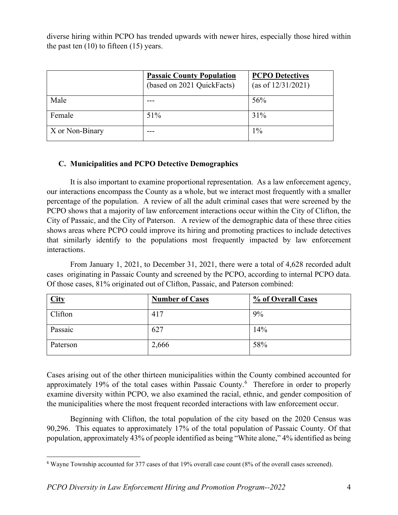diverse hiring within PCPO has trended upwards with newer hires, especially those hired within the past ten  $(10)$  to fifteen  $(15)$  years.

|                 | <b>Passaic County Population</b><br>(based on 2021 QuickFacts) | <b>PCPO Detectives</b><br>(as of 12/31/2021) |
|-----------------|----------------------------------------------------------------|----------------------------------------------|
| Male            |                                                                | 56%                                          |
| Female          | 51%                                                            | 31%                                          |
| X or Non-Binary |                                                                | $1\%$                                        |

#### **C. Municipalities and PCPO Detective Demographics**

It is also important to examine proportional representation. As a law enforcement agency, our interactions encompass the County as a whole, but we interact most frequently with a smaller percentage of the population. A review of all the adult criminal cases that were screened by the PCPO shows that a majority of law enforcement interactions occur within the City of Clifton, the City of Passaic, and the City of Paterson. A review of the demographic data of these three cities shows areas where PCPO could improve its hiring and promoting practices to include detectives that similarly identify to the populations most frequently impacted by law enforcement interactions.

From January 1, 2021, to December 31, 2021, there were a total of 4,628 recorded adult cases originating in Passaic County and screened by the PCPO, according to internal PCPO data. Of those cases, 81% originated out of Clifton, Passaic, and Paterson combined:

| <b>City</b> | <b>Number of Cases</b> | % of Overall Cases |
|-------------|------------------------|--------------------|
| Clifton     | 417                    | 9%                 |
| Passaic     | 627                    | 14%                |
| Paterson    | 2,666                  | 58%                |

Cases arising out of the other thirteen municipalities within the County combined accounted for approximately 19% of the total cases within Passaic County.<sup>[6](#page-3-0)</sup> Therefore in order to properly examine diversity within PCPO, we also examined the racial, ethnic, and gender composition of the municipalities where the most frequent recorded interactions with law enforcement occur.

Beginning with Clifton, the total population of the city based on the 2020 Census was 90,296. This equates to approximately 17% of the total population of Passaic County. Of that population, approximately 43% of people identified as being "White alone," 4% identified as being

<span id="page-3-0"></span><sup>6</sup> Wayne Township accounted for 377 cases of that 19% overall case count (8% of the overall cases screened).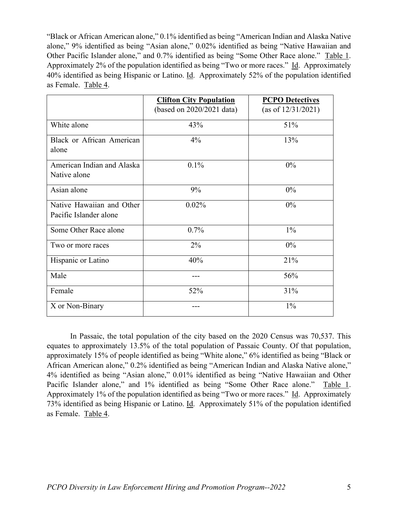"Black or African American alone," 0.1% identified as being "American Indian and Alaska Native alone," 9% identified as being "Asian alone," 0.02% identified as being "Native Hawaiian and Other Pacific Islander alone," and 0.7% identified as being "Some Other Race alone." Table 1. Approximately 2% of the population identified as being "Two or more races." Id. Approximately 40% identified as being Hispanic or Latino. Id. Approximately 52% of the population identified as Female. Table 4.

|                                                     | <b>Clifton City Population</b> | <b>PCPO Detectives</b> |
|-----------------------------------------------------|--------------------------------|------------------------|
|                                                     | (based on 2020/2021 data)      | (as of $12/31/2021$ )  |
| White alone                                         | 43%                            | 51%                    |
| <b>Black or African American</b><br>alone           | $4\%$                          | 13%                    |
| American Indian and Alaska<br>Native alone          | $0.1\%$                        | $0\%$                  |
| Asian alone                                         | 9%                             | $0\%$                  |
| Native Hawaiian and Other<br>Pacific Islander alone | $0.02\%$                       | $0\%$                  |
| Some Other Race alone                               | 0.7%                           | $1\%$                  |
| Two or more races                                   | $2\%$                          | $0\%$                  |
| Hispanic or Latino                                  | 40%                            | 21%                    |
| Male                                                |                                | 56%                    |
| Female                                              | 52%                            | 31%                    |
| X or Non-Binary                                     |                                | $1\%$                  |

In Passaic, the total population of the city based on the 2020 Census was 70,537. This equates to approximately 13.5% of the total population of Passaic County. Of that population, approximately 15% of people identified as being "White alone," 6% identified as being "Black or African American alone," 0.2% identified as being "American Indian and Alaska Native alone," 4% identified as being "Asian alone," 0.01% identified as being "Native Hawaiian and Other Pacific Islander alone," and 1% identified as being "Some Other Race alone." Table 1. Approximately 1% of the population identified as being "Two or more races." Id. Approximately 73% identified as being Hispanic or Latino. Id. Approximately 51% of the population identified as Female. Table 4.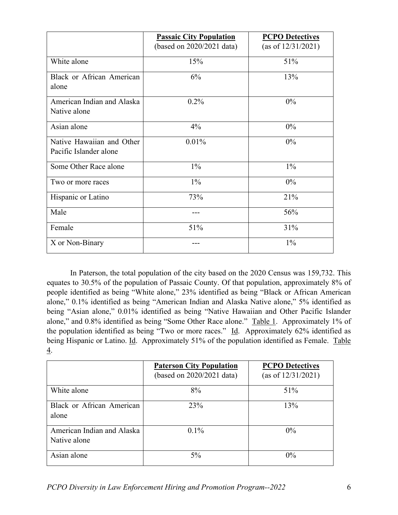|                                                     | <b>Passaic City Population</b> | <b>PCPO Detectives</b> |
|-----------------------------------------------------|--------------------------------|------------------------|
|                                                     | (based on 2020/2021 data)      | (as of $12/31/2021$ )  |
| White alone                                         | 15%                            | 51%                    |
| Black or African American<br>alone                  | 6%                             | 13%                    |
| American Indian and Alaska<br>Native alone          | $0.2\%$                        | $0\%$                  |
| Asian alone                                         | $4\%$                          | $0\%$                  |
| Native Hawaiian and Other<br>Pacific Islander alone | 0.01%                          | $0\%$                  |
| Some Other Race alone                               | $1\%$                          | $1\%$                  |
| Two or more races                                   | $1\%$                          | $0\%$                  |
| Hispanic or Latino                                  | 73%                            | 21%                    |
| Male                                                |                                | 56%                    |
| Female                                              | 51%                            | 31%                    |
| X or Non-Binary                                     |                                | $1\%$                  |

In Paterson, the total population of the city based on the 2020 Census was 159,732. This equates to 30.5% of the population of Passaic County. Of that population, approximately 8% of people identified as being "White alone," 23% identified as being "Black or African American alone," 0.1% identified as being "American Indian and Alaska Native alone," 5% identified as being "Asian alone," 0.01% identified as being "Native Hawaiian and Other Pacific Islander alone," and 0.8% identified as being "Some Other Race alone." Table 1. Approximately 1% of the population identified as being "Two or more races." Id. Approximately 62% identified as being Hispanic or Latino. Id. Approximately 51% of the population identified as Female. Table 4.

|                                            | <b>Paterson City Population</b><br>(based on 2020/2021 data) | <b>PCPO</b> Detectives<br>(as of $12/31/2021$ ) |
|--------------------------------------------|--------------------------------------------------------------|-------------------------------------------------|
| White alone                                | 8%                                                           | 51%                                             |
| Black or African American<br>alone         | 23%                                                          | 13%                                             |
| American Indian and Alaska<br>Native alone | $0.1\%$                                                      | $0\%$                                           |
| Asian alone                                | $5\%$                                                        | $0\%$                                           |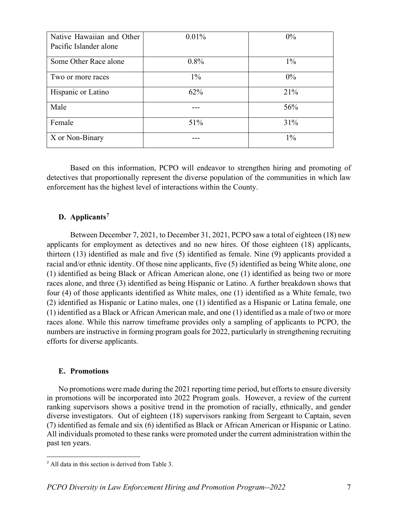| Native Hawaiian and Other | $0.01\%$ | $0\%$ |
|---------------------------|----------|-------|
| Pacific Islander alone    |          |       |
| Some Other Race alone     | $0.8\%$  | $1\%$ |
| Two or more races         | $1\%$    | $0\%$ |
| Hispanic or Latino        | 62%      | 21%   |
| Male                      |          | 56%   |
| Female                    | 51%      | 31%   |
| X or Non-Binary           |          | $1\%$ |

Based on this information, PCPO will endeavor to strengthen hiring and promoting of detectives that proportionally represent the diverse population of the communities in which law enforcement has the highest level of interactions within the County.

#### **D. Applicants[7](#page-6-0)**

Between December 7, 2021, to December 31, 2021, PCPO saw a total of eighteen (18) new applicants for employment as detectives and no new hires. Of those eighteen (18) applicants, thirteen (13) identified as male and five (5) identified as female. Nine (9) applicants provided a racial and/or ethnic identity. Of those nine applicants, five (5) identified as being White alone, one (1) identified as being Black or African American alone, one (1) identified as being two or more races alone, and three (3) identified as being Hispanic or Latino. A further breakdown shows that four (4) of those applicants identified as White males, one (1) identified as a White female, two (2) identified as Hispanic or Latino males, one (1) identified as a Hispanic or Latina female, one (1) identified as a Black or African American male, and one (1) identified as a male of two or more races alone. While this narrow timeframe provides only a sampling of applicants to PCPO, the numbers are instructive in forming program goals for 2022, particularly in strengthening recruiting efforts for diverse applicants.

#### **E. Promotions**

No promotions were made during the 2021 reporting time period, but efforts to ensure diversity in promotions will be incorporated into 2022 Program goals. However, a review of the current ranking supervisors shows a positive trend in the promotion of racially, ethnically, and gender diverse investigators. Out of eighteen (18) supervisors ranking from Sergeant to Captain, seven (7) identified as female and six (6) identified as Black or African American or Hispanic or Latino. All individuals promoted to these ranks were promoted under the current administration within the past ten years.

<span id="page-6-0"></span><sup>7</sup> All data in this section is derived from Table 3.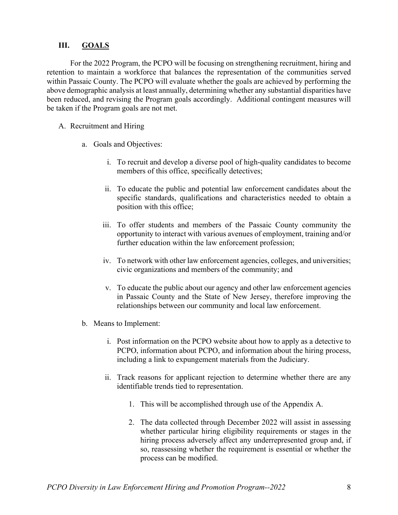#### **III. GOALS**

For the 2022 Program, the PCPO will be focusing on strengthening recruitment, hiring and retention to maintain a workforce that balances the representation of the communities served within Passaic County. The PCPO will evaluate whether the goals are achieved by performing the above demographic analysis at least annually, determining whether any substantial disparities have been reduced, and revising the Program goals accordingly. Additional contingent measures will be taken if the Program goals are not met.

#### A. Recruitment and Hiring

- a. Goals and Objectives:
	- i. To recruit and develop a diverse pool of high-quality candidates to become members of this office, specifically detectives;
	- ii. To educate the public and potential law enforcement candidates about the specific standards, qualifications and characteristics needed to obtain a position with this office;
	- iii. To offer students and members of the Passaic County community the opportunity to interact with various avenues of employment, training and/or further education within the law enforcement profession;
	- iv. To network with other law enforcement agencies, colleges, and universities; civic organizations and members of the community; and
	- v. To educate the public about our agency and other law enforcement agencies in Passaic County and the State of New Jersey, therefore improving the relationships between our community and local law enforcement.
- b. Means to Implement:
	- i. Post information on the PCPO website about how to apply as a detective to PCPO, information about PCPO, and information about the hiring process, including a link to expungement materials from the Judiciary.
	- ii. Track reasons for applicant rejection to determine whether there are any identifiable trends tied to representation.
		- 1. This will be accomplished through use of the Appendix A.
		- 2. The data collected through December 2022 will assist in assessing whether particular hiring eligibility requirements or stages in the hiring process adversely affect any underrepresented group and, if so, reassessing whether the requirement is essential or whether the process can be modified.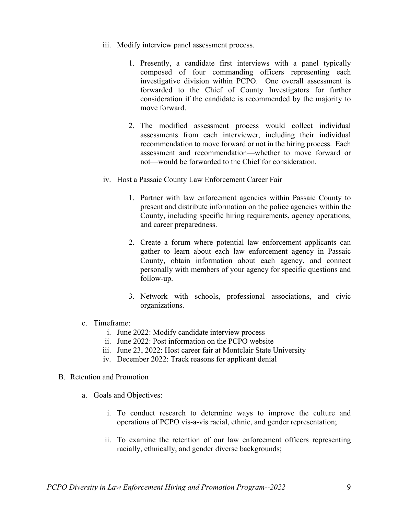- iii. Modify interview panel assessment process.
	- 1. Presently, a candidate first interviews with a panel typically composed of four commanding officers representing each investigative division within PCPO. One overall assessment is forwarded to the Chief of County Investigators for further consideration if the candidate is recommended by the majority to move forward.
	- 2. The modified assessment process would collect individual assessments from each interviewer, including their individual recommendation to move forward or not in the hiring process. Each assessment and recommendation—whether to move forward or not—would be forwarded to the Chief for consideration.
- iv. Host a Passaic County Law Enforcement Career Fair
	- 1. Partner with law enforcement agencies within Passaic County to present and distribute information on the police agencies within the County, including specific hiring requirements, agency operations, and career preparedness.
	- 2. Create a forum where potential law enforcement applicants can gather to learn about each law enforcement agency in Passaic County, obtain information about each agency, and connect personally with members of your agency for specific questions and follow-up.
	- 3. Network with schools, professional associations, and civic organizations.
- c. Timeframe:
	- i. June 2022: Modify candidate interview process
	- ii. June 2022: Post information on the PCPO website
	- iii. June 23, 2022: Host career fair at Montclair State University
	- iv. December 2022: Track reasons for applicant denial
- B. Retention and Promotion
	- a. Goals and Objectives:
		- i. To conduct research to determine ways to improve the culture and operations of PCPO vis-a-vis racial, ethnic, and gender representation;
		- ii. To examine the retention of our law enforcement officers representing racially, ethnically, and gender diverse backgrounds;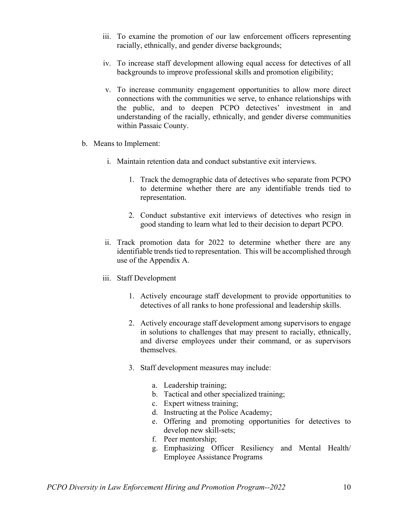- iii. To examine the promotion of our law enforcement officers representing racially, ethnically, and gender diverse backgrounds;
- iv. To increase staff development allowing equal access for detectives of all backgrounds to improve professional skills and promotion eligibility;
- v. To increase community engagement opportunities to allow more direct connections with the communities we serve, to enhance relationships with the public, and to deepen PCPO detectives' investment in and understanding of the racially, ethnically, and gender diverse communities within Passaic County.
- b. Means to Implement:
	- i. Maintain retention data and conduct substantive exit interviews.
		- 1. Track the demographic data of detectives who separate from PCPO to determine whether there are any identifiable trends tied to representation.
		- 2. Conduct substantive exit interviews of detectives who resign in good standing to learn what led to their decision to depart PCPO.
	- ii. Track promotion data for 2022 to determine whether there are any identifiable trends tied to representation. This will be accomplished through use of the Appendix A.
	- iii. Staff Development
		- 1. Actively encourage staff development to provide opportunities to detectives of all ranks to hone professional and leadership skills.
		- 2. Actively encourage staff development among supervisors to engage in solutions to challenges that may present to racially, ethnically, and diverse employees under their command, or as supervisors themselves.
		- 3. Staff development measures may include:
			- a. Leadership training;
			- b. Tactical and other specialized training;
			- c. Expert witness training;
			- d. Instructing at the Police Academy;
			- e. Offering and promoting opportunities for detectives to develop new skill-sets;
			- f. Peer mentorship;
			- g. Emphasizing Officer Resiliency and Mental Health/ Employee Assistance Programs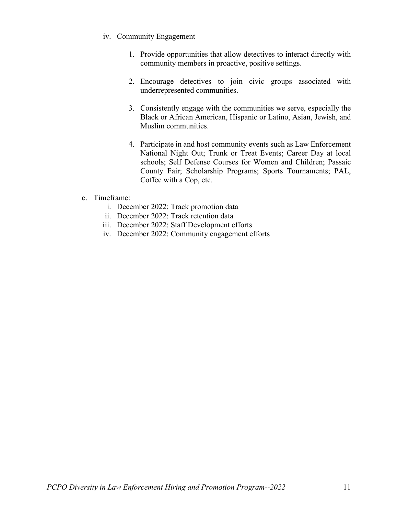- iv. Community Engagement
	- 1. Provide opportunities that allow detectives to interact directly with community members in proactive, positive settings.
	- 2. Encourage detectives to join civic groups associated with underrepresented communities.
	- 3. Consistently engage with the communities we serve, especially the Black or African American, Hispanic or Latino, Asian, Jewish, and Muslim communities.
	- 4. Participate in and host community events such as Law Enforcement National Night Out; Trunk or Treat Events; Career Day at local schools; Self Defense Courses for Women and Children; Passaic County Fair; Scholarship Programs; Sports Tournaments; PAL, Coffee with a Cop, etc.
- c. Timeframe:
	- i. December 2022: Track promotion data
	- ii. December 2022: Track retention data
	- iii. December 2022: Staff Development efforts
	- iv. December 2022: Community engagement efforts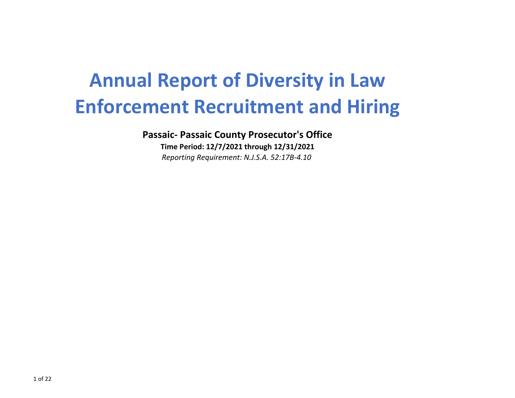# **Annual Report of Diversity in Law Enforcement Recruitment and Hiring**

**Passaic‐ Passaic County Prosecutor's Office**

**Time Period: 12/7/2021 through 12/31/2021** *Reporting Requirement: N.J.S.A. 52:17B‐4.10*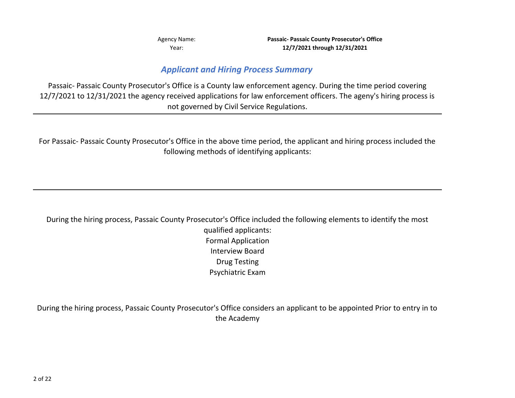Agency Name: **Passaic‐ Passaic County Prosecutor's Office 12/7/2021 through 12/31/2021**

### *Applicant and Hiring Process Summary*

Passaic‐ Passaic County Prosecutor's Office is <sup>a</sup> County law enforcement agency. During the time period covering 12/7/2021 to 12/31/2021 the agency received applications for law enforcement officers. The ageny's hiring process is not governed by Civil Service Regulations.

For Passaic‐ Passaic County Prosecutor's Office in the above time period, the applicant and hiring process included the following methods of identifying applicants:

During the hiring process, Passaic County Prosecutor's Office included the following elements to identify the most qualified applicants: Formal Application Interview Board Drug Testing Psychiatric Exam

During the hiring process, Passaic County Prosecutor's Office considers an applicant to be appointed Prior to entry in to the Academy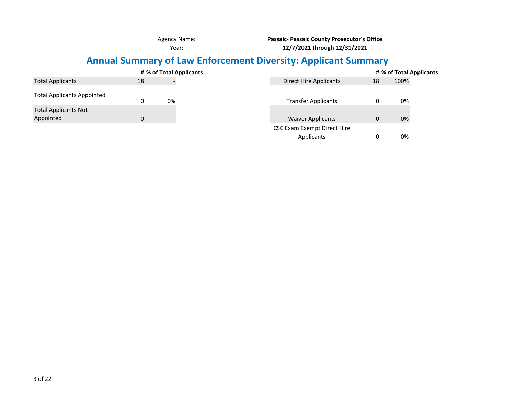**Passaic‐ Passaic County Prosecutor's Office 12/7/2021 through 12/31/2021**

### **Annual Summary of Law Enforcement Diversity: Applicant Summary**

|                                          |    | # % of Total Applicants | # % of Total Applicants                         |  |
|------------------------------------------|----|-------------------------|-------------------------------------------------|--|
| <b>Total Applicants</b>                  | 18 |                         | 100%<br><b>Direct Hire Applicants</b><br>18     |  |
| <b>Total Applicants Appointed</b>        |    | 0%                      | <b>Transfer Applicants</b><br>0%                |  |
| <b>Total Applicants Not</b><br>Appointed | 0  |                         | 0%<br><b>Waiver Applicants</b>                  |  |
|                                          |    |                         | CSC Exam Exempt Direct Hire<br>0%<br>Applicants |  |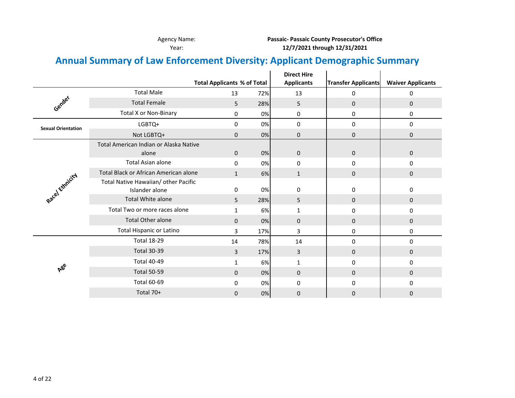Agency Name: **Passaic‐ Passaic County Prosecutor's Office 12/7/2021 through 12/31/2021**

### **Annual Summary of Law Enforcement Diversity: Applicant Demographic Summary**

|                           |                                        |                                    |     | <b>Direct Hire</b> |                            |                          |
|---------------------------|----------------------------------------|------------------------------------|-----|--------------------|----------------------------|--------------------------|
|                           |                                        | <b>Total Applicants % of Total</b> |     | <b>Applicants</b>  | <b>Transfer Applicants</b> | <b>Waiver Applicants</b> |
|                           | <b>Total Male</b>                      | 13                                 | 72% | 13                 | 0                          | 0                        |
| Gender                    | <b>Total Female</b>                    | 5                                  | 28% | 5                  | 0                          | 0                        |
|                           | <b>Total X or Non-Binary</b>           | 0                                  | 0%  | 0                  | 0                          | 0                        |
| <b>Sexual Orientation</b> | LGBTQ+                                 | 0                                  | 0%  | 0                  | 0                          | 0                        |
|                           | Not LGBTQ+                             | $\mathbf{0}$                       | 0%  | 0                  | $\mathbf{0}$               | 0                        |
|                           | Total American Indian or Alaska Native |                                    |     |                    |                            |                          |
|                           | alone                                  | $\mathbf 0$                        | 0%  | $\mathbf{0}$       | $\mathbf{0}$               | $\mathbf{0}$             |
|                           | Total Asian alone                      | 0                                  | 0%  | 0                  | 0                          | 0                        |
|                           | Total Black or African American alone  | $\mathbf{1}$                       | 6%  | $\mathbf{1}$       | 0                          | 0                        |
|                           | Total Native Hawaiian/ other Pacific   |                                    |     |                    |                            |                          |
| Racel Ethnicity           | Islander alone                         | $\mathbf 0$                        | 0%  | $\Omega$           | 0                          | 0                        |
|                           | <b>Total White alone</b>               | 5                                  | 28% | 5                  | 0                          | $\mathbf{0}$             |
|                           | Total Two or more races alone          | 1                                  | 6%  | 1                  | 0                          | 0                        |
|                           | <b>Total Other alone</b>               | $\Omega$                           | 0%  | $\mathbf{0}$       | $\mathbf{0}$               | $\mathbf{0}$             |
|                           | Total Hispanic or Latino               | 3                                  | 17% | 3                  | 0                          | 0                        |
|                           | <b>Total 18-29</b>                     | 14                                 | 78% | 14                 | 0                          | 0                        |
|                           | <b>Total 30-39</b>                     | 3                                  | 17% | 3                  | 0                          | 0                        |
|                           | <b>Total 40-49</b>                     | 1                                  | 6%  | $\mathbf{1}$       | 0                          | 0                        |
| <b>A</b> ee               | <b>Total 50-59</b>                     | $\mathbf{0}$                       | 0%  | $\mathbf{0}$       | 0                          | $\mathbf{0}$             |
|                           | <b>Total 60-69</b>                     | 0                                  | 0%  | 0                  | 0                          | 0                        |
|                           | Total 70+                              | $\mathbf{0}$                       | 0%  | 0                  | 0                          | 0                        |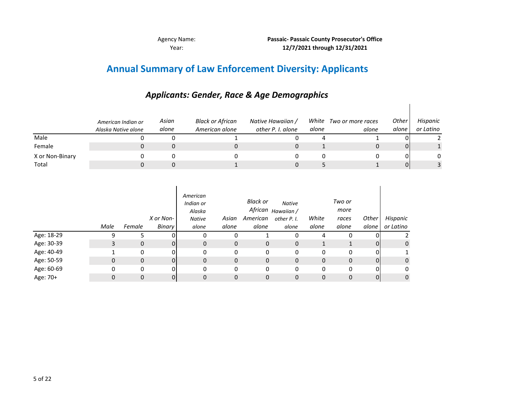$\overline{\phantom{a}}$ 

### **Annual Summary of Law Enforcement Diversity: Applicants**

|                 | American Indian or<br>Alaska Native alone | Asian<br>alone | Black or African<br>American alone | Native Hawaiian /<br>other P. I. alone | White<br>alone | Two or more races<br>alone | <b>Other</b><br>alone | Hispanic<br>or Latino |
|-----------------|-------------------------------------------|----------------|------------------------------------|----------------------------------------|----------------|----------------------------|-----------------------|-----------------------|
| Male            |                                           |                |                                    |                                        |                |                            |                       |                       |
| Female          |                                           |                |                                    |                                        |                |                            |                       |                       |
| X or Non-Binary |                                           |                |                                    |                                        |                |                            |                       |                       |
| Total           |                                           |                |                                    |                                        |                |                            |                       |                       |

### *Applicants: Gender, Race & Age Demographics*

|            | Male | Female       | X or Non-<br>Binary | American<br>Indian or<br>Alaska<br>Native<br>alone | Asian<br>alone | Black or<br>American<br>alone | <b>Native</b><br>African <sub>Hawaiian</sub> /<br>other P. I.<br>alone | White<br>alone | Two or<br>more<br>races<br>alone | Other<br>alone | Hispanic<br>or Latino |
|------------|------|--------------|---------------------|----------------------------------------------------|----------------|-------------------------------|------------------------------------------------------------------------|----------------|----------------------------------|----------------|-----------------------|
| Age: 18-29 | 9    |              |                     | 0                                                  | 0              |                               | 0                                                                      | 4              |                                  |                |                       |
| Age: 30-39 | 3    | $\mathbf{0}$ | 0                   | 0                                                  | 0              | 0                             | 0                                                                      |                |                                  | 0              | $\mathbf 0$           |
| Age: 40-49 |      | 0            | ΩI                  | 0                                                  | 0              | 0                             | 0                                                                      | 0              | 0                                | 0              |                       |
| Age: 50-59 | 0    | $\mathbf 0$  | $\Omega$            | $\mathbf{0}$                                       | $\mathbf{0}$   | $\mathbf 0$                   | $\mathbf{0}$                                                           | $\mathbf 0$    | 0                                | $\Omega$       | $\mathbf 0$           |
| Age: 60-69 | 0    | 0            | 0                   | 0                                                  | 0              | 0                             | 0                                                                      | $\Omega$       | 0                                | 0              | 0                     |
| Age: 70+   | 0    | 0            | 0                   | 0                                                  | 0              | 0                             | $\mathbf 0$                                                            | 0              | 0                                | 0              | $\mathbf 0$           |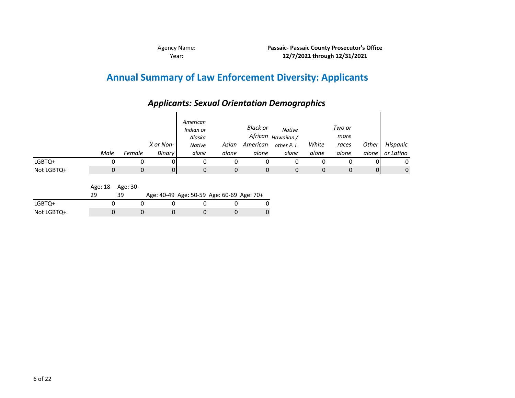### **Annual Summary of Law Enforcement Diversity: Applicants**

*Applicants: Sexual Orientation Demographics*

#### *Male FemaleX or Non‐ Binary American Indian or AlaskaNative alone Asian American other P. I. aloneBlack or African Hawaiian / aloneNativealone White aloneTwo or moreraces aloneOther alone Hispanic or Latino* LGBTQ+ 0 00000 0000 0 Not LGBTQ+ LGBTQ+ 0 00000 0000 0

Age: 18‐ Age: 30‐

|            |  | Age: 40-49 Age: 50-59 Age: 60-69 Age: 70+ |  |  |
|------------|--|-------------------------------------------|--|--|
| LGBTO+     |  |                                           |  |  |
| Not LGBTQ+ |  |                                           |  |  |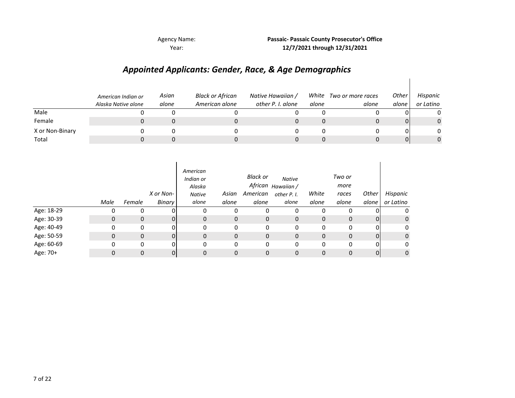Agency Name: **Passaic‐ Passaic County Prosecutor's Office 12/7/2021 through 12/31/2021**

 $\mathsf{l}$ 

## *Appointed Applicants: Gender, Race, & Age Demographics*

|                 | American Indian or<br>Alaska Native alone | Asian<br>alone | <b>Black or African</b><br>American alone | Native Hawaiian /<br>other P. I. alone | alone | White Two or more races<br>alone | Other<br>alone | Hispanic<br>or Latino |
|-----------------|-------------------------------------------|----------------|-------------------------------------------|----------------------------------------|-------|----------------------------------|----------------|-----------------------|
| Male            |                                           |                |                                           |                                        |       |                                  |                | 0                     |
| Female          |                                           |                |                                           |                                        |       |                                  | ΟI             | $\mathbf{0}$          |
| X or Non-Binary |                                           |                |                                           |                                        |       |                                  | ΩI             | 0                     |
| Total           |                                           |                |                                           |                                        |       |                                  | 01             | 0                     |

|            | Male         | Female       | X or Non-<br>Binary | American<br>Indian or<br>Alaska<br>Native<br>alone | Asian<br>alone | Black or<br>American<br>alone | <b>Native</b><br>African <sub>Hawaiian</sub> /<br>other P. I.<br>alone | White<br>alone | Two or<br>more<br>races<br>alone | <b>Other</b><br>alone | Hispanic<br>or Latino |
|------------|--------------|--------------|---------------------|----------------------------------------------------|----------------|-------------------------------|------------------------------------------------------------------------|----------------|----------------------------------|-----------------------|-----------------------|
| Age: 18-29 | O            | 0            |                     |                                                    | 0              | 0                             |                                                                        | 0              |                                  |                       | 0                     |
| Age: 30-39 | $\mathbf{0}$ | $\mathbf 0$  | 0                   | 0                                                  | $\mathbf 0$    | 0                             | $\mathbf 0$                                                            | 0              | $\mathbf{0}$                     | 0                     | $\mathbf 0$           |
| Age: 40-49 | 0            | 0            | Ω.                  | 0                                                  | 0              | 0                             | 0                                                                      | 0              | 0                                | $\mathbf{0}$          | 0                     |
| Age: 50-59 | 0            | $\mathbf{0}$ | $\Omega$            | 0                                                  | $\mathbf{0}$   | 0                             | $\mathbf 0$                                                            | 0              | 0                                | $\overline{0}$        | $\mathbf 0$           |
| Age: 60-69 | 0            | 0            | Ω.                  | 0                                                  | $\Omega$       | 0                             | 0                                                                      | 0              | 0                                | $\Omega$              | 0                     |
| Age: 70+   | 0            | $\Omega$     | 0                   | 0                                                  | 0              | 0                             | 0                                                                      | 0              | 0                                | 0                     | $\mathbf 0$           |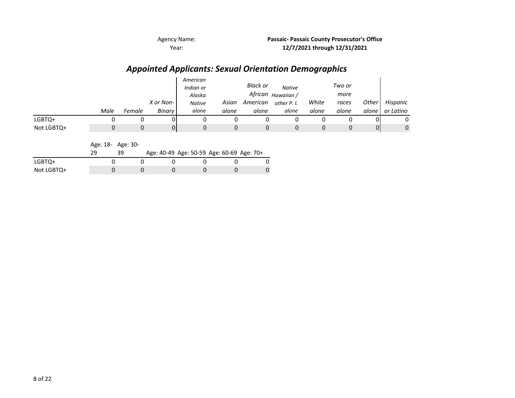Agency Name: **Passaic‐ Passaic County Prosecutor's Office 12/7/2021 through 12/31/2021**

## *Appointed Applicants: Sexual Orientation Demographics*

|            | Male | Female | X or Non-<br>Binary | American<br>Indian or<br>Alaska<br><b>Native</b><br>alone | Asian<br>alone | Black or<br>American<br>alone | <b>Native</b><br>African <sub>Hawaiian</sub> /<br>other P. I.<br>alone | White<br>alone | Two or<br>more<br>races<br>alone | Other<br>alone | Hispanic<br>or Latino |
|------------|------|--------|---------------------|-----------------------------------------------------------|----------------|-------------------------------|------------------------------------------------------------------------|----------------|----------------------------------|----------------|-----------------------|
| LGBTQ+     |      |        |                     |                                                           |                |                               |                                                                        |                |                                  |                | 0                     |
| Not LGBTQ+ |      |        |                     |                                                           | 0              |                               |                                                                        |                |                                  | 0              | 0                     |

|            |  |  | Age: 40-49 Age: 50-59 Age: 60-69 Age: 70+ |  |
|------------|--|--|-------------------------------------------|--|
| LGBTQ+     |  |  |                                           |  |
| Not LGBTQ+ |  |  |                                           |  |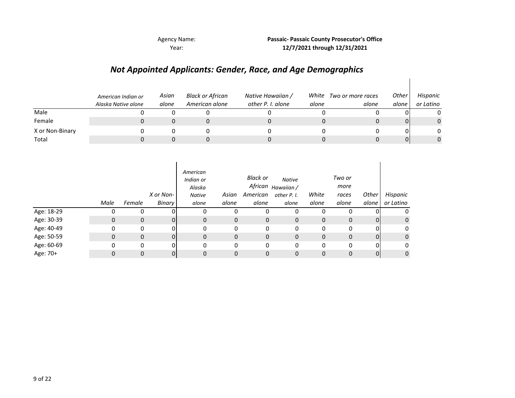**Passaic‐ Passaic County Prosecutor's Office 12/7/2021 through 12/31/2021**

 $\mathsf{l}$ 

#### *Not Appointed Applicants: Gender, Race, and Age Demographics*

|                 | American Indian or<br>Alaska Native alone | Asian<br>alone | Black or African<br>American alone | Native Hawaiian /<br>other P. I. alone | White<br>alone | Two or more races<br>alone | Other<br>alone | Hispanic<br>or Latino |
|-----------------|-------------------------------------------|----------------|------------------------------------|----------------------------------------|----------------|----------------------------|----------------|-----------------------|
| Male            |                                           |                |                                    |                                        |                |                            |                |                       |
| Female          |                                           |                |                                    |                                        |                |                            | ΟI             | $\mathbf{0}$          |
| X or Non-Binary |                                           |                |                                    |                                        |                |                            |                |                       |
| Total           |                                           |                |                                    |                                        |                |                            | 01             | 0                     |

|            | Male | Female       | X or Non-<br>Binary | American<br>Indian or<br>Alaska<br><b>Native</b><br>alone | Asian<br>alone | Black or<br>American<br>alone | <b>Native</b><br>African <sub>Hawaiian</sub> /<br>other P. I.<br>alone | White<br>alone | Two or<br>more<br>races<br>alone | Other<br>alone | Hispanic<br>or Latino |
|------------|------|--------------|---------------------|-----------------------------------------------------------|----------------|-------------------------------|------------------------------------------------------------------------|----------------|----------------------------------|----------------|-----------------------|
| Age: 18-29 | 0    | 0            |                     | 0                                                         | 0              | 0                             | 0                                                                      | 0              | 0                                |                | 0                     |
| Age: 30-39 | 0    | $\mathbf 0$  | 0                   | $\mathbf{0}$                                              | $\mathbf 0$    | $\mathbf 0$                   | $\mathbf 0$                                                            | $\mathbf 0$    | 0                                | 01             | $\mathbf{0}$          |
| Age: 40-49 | 0    | 0            | 0                   | 0                                                         | 0              | 0                             | 0                                                                      | 0              | 0                                | 0              | 0                     |
| Age: 50-59 | 0    | $\mathbf{0}$ | 0                   | 0                                                         | $\mathbf 0$    | 0                             | $\mathbf 0$                                                            | 0              | 0                                | 0              | $\mathbf{0}$          |
| Age: 60-69 | 0    | 0            | 0                   | 0                                                         | $\mathbf 0$    | 0                             | 0                                                                      | 0              | 0                                | 0              | 0                     |
| Age: 70+   | 0    | $\mathbf{0}$ | 01                  | 0                                                         | 0              | 0                             | 0                                                                      | 0              | 0                                | 01             | $\mathbf{0}$          |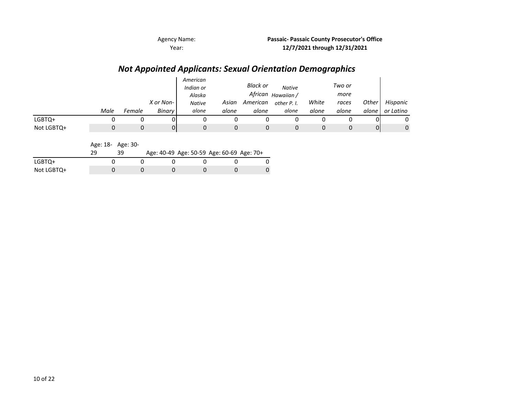Agency Name: **Passaic‐ Passaic County Prosecutor's Office 12/7/2021 through 12/31/2021**

#### *Not Appointed Applicants: Sexual Orientation Demographics*

|            |      |        |           | American<br>Indian or<br>Alaska |       | <b>Black or</b><br>African | <b>Native</b><br>Hawaiian / |       | Two or<br>more |              |           |
|------------|------|--------|-----------|---------------------------------|-------|----------------------------|-----------------------------|-------|----------------|--------------|-----------|
|            |      |        | X or Non- | <b>Native</b>                   | Asian | American                   | other P. I.                 | White | races          | <b>Other</b> | Hispanic  |
|            | Male | Female | Binary    | alone                           | alone | alone                      | alone                       | alone | alone          | alone        | or Latino |
| LGBTQ+     |      |        | JІ        |                                 |       |                            | 0                           |       |                |              | 0         |
| Not LGBTQ+ |      |        | 01        |                                 | 0     |                            | 0                           | 0     |                | 01           | 0         |

| Age: 18- | Age: 30- |  |
|----------|----------|--|
|          |          |  |

|            |  |  | Age: 40-49 Age: 50-59 Age: 60-69 Age: 70+ |  |
|------------|--|--|-------------------------------------------|--|
| LGBTQ+     |  |  |                                           |  |
| Not LGBTQ+ |  |  |                                           |  |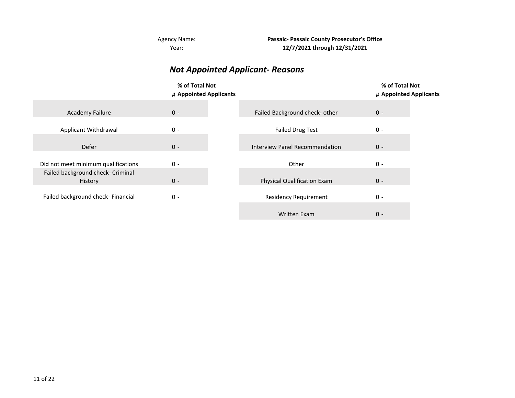Year: Agency Name: **Passaic‐ Passaic County Prosecutor's Office 12/7/2021 through 12/31/2021**

#### *Not Appointed Applicant‐ Reasons*

|                                              | % of Total Not<br># Appointed Applicants |                                    | % of Total Not<br># Appointed Applicants |  |
|----------------------------------------------|------------------------------------------|------------------------------------|------------------------------------------|--|
| <b>Academy Failure</b>                       | $0 -$                                    | Failed Background check- other     | $0 -$                                    |  |
| Applicant Withdrawal                         | $0 -$                                    | <b>Failed Drug Test</b>            | $0 -$                                    |  |
| Defer                                        | $0 -$                                    | Interview Panel Recommendation     | $0 -$                                    |  |
| Did not meet minimum qualifications          | $0 -$                                    | Other                              | $0 -$                                    |  |
| Failed background check- Criminal<br>History | $0 -$                                    | <b>Physical Qualification Exam</b> | $0 -$                                    |  |
| Failed background check- Financial           | $0 -$                                    | <b>Residency Requirement</b>       | $0 -$                                    |  |
|                                              |                                          | <b>Written Exam</b>                | $0 -$                                    |  |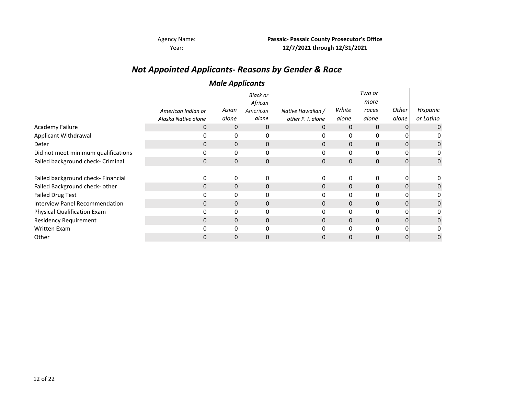Agency Name: **Passaic‐ Passaic County Prosecutor's Office 12/7/2021 through 12/31/2021**

### *Not Appointed Applicants‐ Reasons by Gender & Race*

#### *Male Applicants*

|                                       |                     | . .          |              |                   |              |              |                |           |
|---------------------------------------|---------------------|--------------|--------------|-------------------|--------------|--------------|----------------|-----------|
|                                       |                     |              | Black or     |                   |              | Two or       |                |           |
|                                       |                     |              | African      |                   |              | more         |                |           |
|                                       | American Indian or  | Asian        | American     | Native Hawaiian / | White        | races        | Other          | Hispanic  |
|                                       | Alaska Native alone | alone        | alone        | other P. I. alone | alone        | alone        | alone          | or Latino |
| <b>Academy Failure</b>                | 0                   | 0            | 0            | 0                 | 0            | 0            | 01             | 0         |
| Applicant Withdrawal                  | 0                   | 0            | 0            | 0                 | 0            | 0            | 01             |           |
| Defer                                 | $\Omega$            | $\mathbf{0}$ | $\mathbf{0}$ | 0                 | $\mathbf{0}$ | $\mathbf{0}$ | 01             | 0         |
| Did not meet minimum qualifications   |                     | 0            | 0            | 0                 | 0            | 0            | 0              | 0         |
| Failed background check- Criminal     | $\Omega$            | $\mathbf{0}$ | $\mathbf 0$  | 0                 | $\mathbf{0}$ | 0            | $\overline{0}$ | 0         |
|                                       |                     |              |              |                   |              |              |                |           |
| Failed background check- Financial    |                     | 0            | 0            | 0                 | 0            | 0            | 0              |           |
| Failed Background check- other        | $\Omega$            | $\mathbf{0}$ | $\mathbf{0}$ | $\mathbf 0$       | $\mathbf{0}$ | $\mathbf 0$  | 0              | 0         |
| <b>Failed Drug Test</b>               |                     | 0            | $\mathbf{0}$ | 0                 | 0            | 0            | ΩI             |           |
| <b>Interview Panel Recommendation</b> | 0                   | $\mathbf{0}$ | $\mathbf{0}$ | $\Omega$          | $\Omega$     | $\mathbf 0$  | 01             | $\Omega$  |
| Physical Qualification Exam           |                     | 0            | 0            |                   | 0            | 0            | ΩI             |           |
| <b>Residency Requirement</b>          | 0                   | $\Omega$     | $\mathbf{0}$ | 0                 | $\Omega$     | $\Omega$     | 01             | 0         |
| <b>Written Exam</b>                   |                     | 0            | $\mathbf{0}$ |                   | 0            | 0            | 0              |           |
| Other                                 |                     | 0            | 0            | 0                 |              | 0            | 0              | 0         |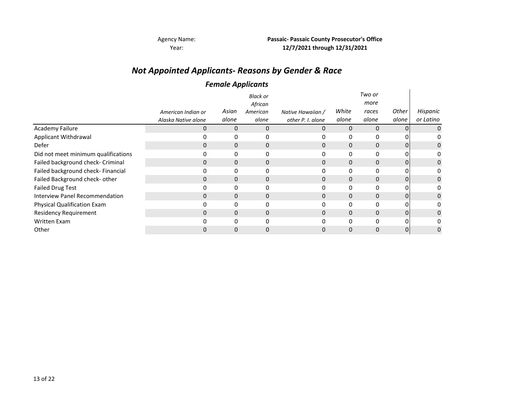Agency Name: **Passaic‐ Passaic County Prosecutor's Office 12/7/2021 through 12/31/2021**

### *Not Appointed Applicants‐ Reasons by Gender & Race*

#### *Female Applicants*

|                                     |                     |              | <b>Black or</b><br>African |                   |          | Two or<br>more |       |             |
|-------------------------------------|---------------------|--------------|----------------------------|-------------------|----------|----------------|-------|-------------|
|                                     | American Indian or  | Asian        | American                   | Native Hawaiian / | White    | races          | Other | Hispanic    |
|                                     | Alaska Native alone | alone        | alone                      | other P. I. alone | alone    | alone          | alone | or Latino   |
| Academy Failure                     | 0                   | 0            | 0                          | 0                 | 0        | $\mathbf{0}$   |       | 0           |
| Applicant Withdrawal                |                     | 0            | 0                          |                   | 0        | 0              |       | 0           |
| Defer                               | 0                   | 0            | $\mathbf 0$                | 0                 | 0        | 0              | 0     | 0           |
| Did not meet minimum qualifications |                     | 0            | 0                          | 0                 | 0        | 0              |       | 0           |
| Failed background check- Criminal   | $\Omega$            | $\mathbf{0}$ | $\mathbf 0$                | $\Omega$          | 0        | $\mathbf{0}$   | 0     | 0           |
| Failed background check- Financial  |                     | 0            | 0                          | 0                 | 0        | 0              | 0     | 0           |
| Failed Background check- other      | 0                   | $\mathbf{0}$ | $\mathbf 0$                | 0                 | $\Omega$ | $\Omega$       | 0     | $\mathbf 0$ |
| <b>Failed Drug Test</b>             |                     | 0            | 0                          | 0                 | 0        | $\Omega$       |       | 0           |
| Interview Panel Recommendation      | 0                   | $\Omega$     | $\mathbf 0$                | 0                 | 0        | $\Omega$       |       | 0           |
| Physical Qualification Exam         |                     | 0            | 0                          | 0                 | 0        | 0              |       | 0           |
| <b>Residency Requirement</b>        | 0                   | $\mathbf{0}$ | $\mathbf{0}$               | 0                 | 0        | $\mathbf{0}$   | 0     | 0           |
| <b>Written Exam</b>                 |                     | 0            | 0                          | 0                 | 0        | $\mathbf{0}$   | 0     | 0           |
| Other                               | 0                   | 0            | 0                          | 0                 | 0        | 0              | 0     | 0           |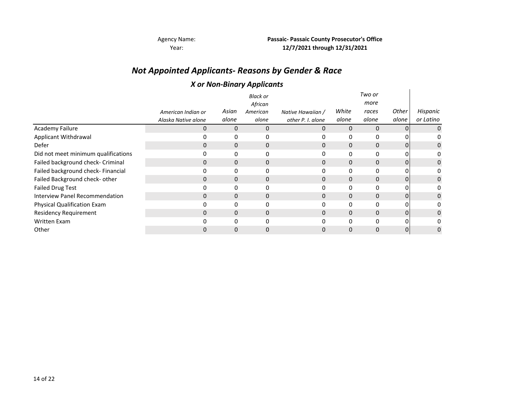Agency Name: **Passaic‐ Passaic County Prosecutor's Office 12/7/2021 through 12/31/2021**

### *Not Appointed Applicants‐ Reasons by Gender & Race*

#### *X or Non‐Binary Applicants*

|                                     |                     |          | ,<br>.                     |                   |          |                |       |           |
|-------------------------------------|---------------------|----------|----------------------------|-------------------|----------|----------------|-------|-----------|
|                                     |                     |          | <b>Black or</b><br>African |                   |          | Two or<br>more |       |           |
|                                     | American Indian or  | Asian    | American                   | Native Hawaiian / | White    | races          | Other | Hispanic  |
|                                     | Alaska Native alone | alone    | alone                      | other P. I. alone | alone    | alone          | alone | or Latino |
| Academy Failure                     | 0                   | 0        | $\Omega$                   | 0                 | 0        | $\Omega$       |       | 0         |
| Applicant Withdrawal                |                     | 0        | 0                          |                   | 0        | $\Omega$       |       | 0         |
| Defer                               | 0                   | 0        | $\mathbf 0$                | 0                 | 0        | $\mathbf{0}$   | 0     | 0         |
| Did not meet minimum qualifications | 0                   | 0        | 0                          | 0                 | 0        | 0              |       | 0         |
| Failed background check- Criminal   | $\Omega$            | 0        | $\mathbf{0}$               | $\mathbf{0}$      | 0        | $\mathbf{0}$   | 0     | 0         |
| Failed background check- Financial  |                     | 0        | 0                          | 0                 | 0        | 0              | 0     | 0         |
| Failed Background check- other      | 0                   | 0        | $\mathbf 0$                | $\Omega$          | $\Omega$ | 0              | 0     | 0         |
| <b>Failed Drug Test</b>             |                     | 0        | $\Omega$                   | 0                 | 0        | $\Omega$       |       | 0         |
| Interview Panel Recommendation      | 0                   | $\Omega$ | $\mathbf 0$                | 0                 | 0        | $\Omega$       |       | 0         |
| Physical Qualification Exam         |                     | 0        | 0                          | 0                 |          | 0              |       | 0         |
| <b>Residency Requirement</b>        | 0                   | 0        | $\mathbf{0}$               | $\Omega$          | 0        | $\mathbf{0}$   | 0     | 0         |
| <b>Written Exam</b>                 |                     | 0        | $\Omega$                   | 0                 | 0        | 0              | 0     | 0         |
| Other                               | 0                   | 0        | $\Omega$                   | 0                 | 0        | $\Omega$       | 0     | 0         |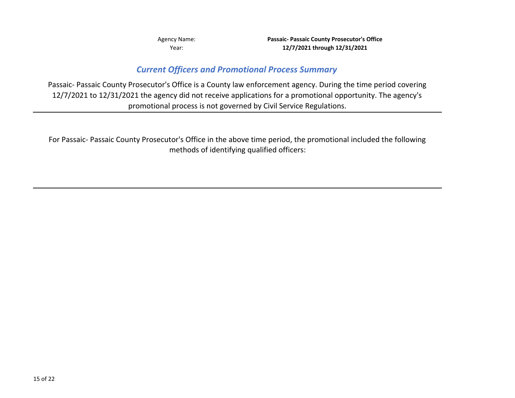Agency Name: **Passaic‐ Passaic County Prosecutor's Office 12/7/2021 through 12/31/2021**

### *Current Officers and Promotional Process Summary*

Passaic‐ Passaic County Prosecutor's Office is <sup>a</sup> County law enforcement agency. During the time period covering 12/7/2021 to 12/31/2021 the agency did not receive applications for <sup>a</sup> promotional opportunity. The agency's promotional process is not governed by Civil Service Regulations.

For Passaic‐ Passaic County Prosecutor's Office in the above time period, the promotional included the following methods of identifying qualified officers: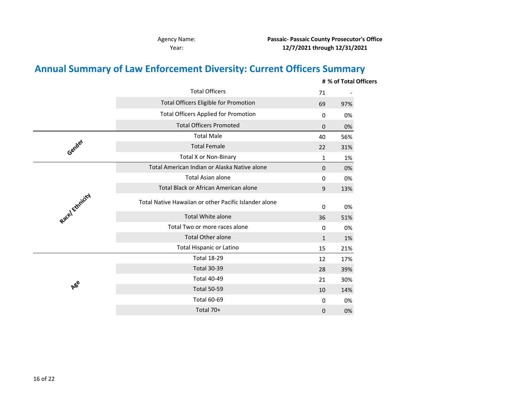**Passaic‐ Passaic County Prosecutor's Office 12/7/2021 through 12/31/2021**

### **Annual Summary of Law Enforcement Diversity: Current Officers Summary**

|                |                                                       |              | # % of Total Officers |
|----------------|-------------------------------------------------------|--------------|-----------------------|
|                | <b>Total Officers</b>                                 | 71           |                       |
|                | Total Officers Eligible for Promotion                 | 69           | 97%                   |
|                | <b>Total Officers Applied for Promotion</b>           | 0            | 0%                    |
|                | <b>Total Officers Promoted</b>                        | $\mathbf 0$  | 0%                    |
|                | <b>Total Male</b>                                     | 40           | 56%                   |
| Gender         | <b>Total Female</b>                                   | 22           | 31%                   |
|                | <b>Total X or Non-Binary</b>                          | $\mathbf{1}$ | 1%                    |
|                | Total American Indian or Alaska Native alone          | $\Omega$     | 0%                    |
|                | <b>Total Asian alone</b>                              | 0            | 0%                    |
| Racel Ethnicky | Total Black or African American alone                 | 9            | 13%                   |
|                | Total Native Hawaiian or other Pacific Islander alone | 0            | 0%                    |
|                | <b>Total White alone</b>                              | 36           | 51%                   |
|                | Total Two or more races alone                         | 0            | 0%                    |
|                | <b>Total Other alone</b>                              | $\mathbf{1}$ | 1%                    |
|                | Total Hispanic or Latino                              | 15           | 21%                   |
|                | <b>Total 18-29</b>                                    | 12           | 17%                   |
|                | <b>Total 30-39</b>                                    | 28           | 39%                   |
|                | <b>Total 40-49</b>                                    | 21           | 30%                   |
| <b>A</b> ee    | <b>Total 50-59</b>                                    | 10           | 14%                   |
|                | <b>Total 60-69</b>                                    | 0            | 0%                    |
|                | Total 70+                                             | $\mathbf 0$  | 0%                    |
|                |                                                       |              |                       |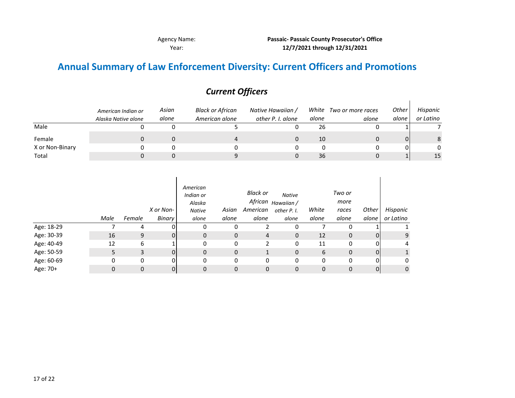$\mathbf{r}$ 

#### **12/7/2021 through 12/31/2021** Agency Name: **Passaic‐ Passaic County Prosecutor's Office**

 $\mathbf{r}$ 

### **Annual Summary of Law Enforcement Diversity: Current Officers and Promotions**

|                 | American Indian or<br>Alaska Native alone | Asian<br>alone | Black or African<br>American alone | Native Hawaiian /<br>other P. I. alone | alone | White Two or more races<br>alone | Other<br>alone | Hispanic<br>or Latino |
|-----------------|-------------------------------------------|----------------|------------------------------------|----------------------------------------|-------|----------------------------------|----------------|-----------------------|
| Male            |                                           |                |                                    |                                        | 26    |                                  |                |                       |
| Female          |                                           |                |                                    |                                        | 10    |                                  |                | 8                     |
| X or Non-Binary |                                           |                |                                    |                                        |       |                                  |                | $\mathbf{0}$          |
| Total           |                                           |                |                                    |                                        | 36    |                                  |                | 15                    |

#### *Current Officers*

|            | Male | Female   | X or Non-<br>Binary | American<br>Indian or<br>Alaska<br>Native<br>alone | Asian<br>alone | Black or<br>American<br>alone | Native<br>African <sub>Hawaiian</sub> /<br>other P. I.<br>alone | White<br>alone | Two or<br>more<br>races<br>alone | Other<br>alone | Hispanic<br>or Latino |
|------------|------|----------|---------------------|----------------------------------------------------|----------------|-------------------------------|-----------------------------------------------------------------|----------------|----------------------------------|----------------|-----------------------|
| Age: 18-29 |      | 4        | 0                   | 0                                                  | 0              |                               | 0                                                               |                | 0                                |                |                       |
| Age: 30-39 | 16   | 9        | 0                   | $\mathbf{0}$                                       | $\mathbf 0$    | 4                             | $\mathbf 0$                                                     | 12             | 0                                | $\mathbf{0}$   | 9                     |
| Age: 40-49 | 12   | 6        |                     | $\Omega$                                           | 0              | 2                             | 0                                                               | 11             | 0                                | 0              | 4                     |
| Age: 50-59 |      | 3        | $\overline{0}$      | $\mathbf{0}$                                       | 0              |                               | $\mathbf 0$                                                     | 6              | 0                                | 0              | 1                     |
| Age: 60-69 | 0    |          | 0                   | $\mathbf{0}$                                       | 0              | 0                             | 0                                                               | 0              | 0                                | 0              | 0                     |
| Age: 70+   |      | $\Omega$ | $\overline{0}$      | 0                                                  | 0              | 0                             | 0                                                               | $\Omega$       | 0                                | $\mathbf{0}$   | $\mathbf 0$           |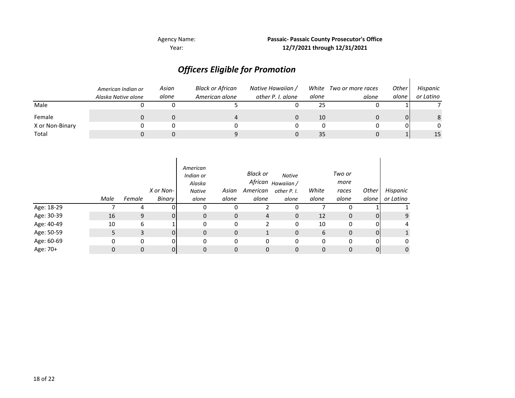Agency Name: **Passaic‐ Passaic County Prosecutor's Office 12/7/2021 through 12/31/2021**

# *Officers Eligible for Promotion*

|                 | American Indian or<br>Alaska Native alone | Asian<br>alone | <b>Black or African</b><br>American alone | Native Hawaiian /<br>other P. I. alone | alone | White Two or more races<br>alone | Other<br>alone | Hispanic<br>or Latino |
|-----------------|-------------------------------------------|----------------|-------------------------------------------|----------------------------------------|-------|----------------------------------|----------------|-----------------------|
| Male            |                                           |                |                                           |                                        | 25    |                                  |                |                       |
| Female          |                                           |                |                                           |                                        | 10    |                                  |                | 8                     |
| X or Non-Binary |                                           |                |                                           |                                        |       |                                  |                | 0                     |
| Total           |                                           |                |                                           |                                        | 35    |                                  |                | 15                    |

|            | Male | Female   | X or Non-<br><b>Binary</b> | American<br>Indian or<br>Alaska<br><b>Native</b><br>alone | Asian<br>alone | Black or<br>American<br>alone | <b>Native</b><br>African <sub>Hawaiian</sub> /<br>other P. I.<br>alone | White<br>alone | Two or<br>more<br>races<br>alone | Other<br>alone | Hispanic<br>or Latino |
|------------|------|----------|----------------------------|-----------------------------------------------------------|----------------|-------------------------------|------------------------------------------------------------------------|----------------|----------------------------------|----------------|-----------------------|
| Age: 18-29 |      | 4        |                            | 0                                                         | 0              |                               | 0                                                                      |                | Ω                                |                |                       |
| Age: 30-39 | 16   | 9        | 0                          | 0                                                         | 0              | 4                             | $\mathbf 0$                                                            | 12             | $\mathbf{0}$                     | 0              | 9                     |
| Age: 40-49 | 10   | 6        |                            | 0                                                         | 0              | າ                             | 0                                                                      | 10             | 0                                | 0              | 4                     |
| Age: 50-59 | 5.   | 3        | 0                          | 0                                                         | 0              | $\mathbf{1}$                  | $\mathbf 0$                                                            | 6              | 0                                | $\Omega$       | $\mathbf{1}$          |
| Age: 60-69 | 0    | 0        | 0                          | 0                                                         | 0              | 0                             | 0                                                                      | 0              | 0                                | 0              | 0                     |
| Age: 70+   | 0    | $\Omega$ | 0                          | 0                                                         | 0              | 0                             | 0                                                                      | $\mathbf{0}$   | 0                                | 0              | $\mathbf 0$           |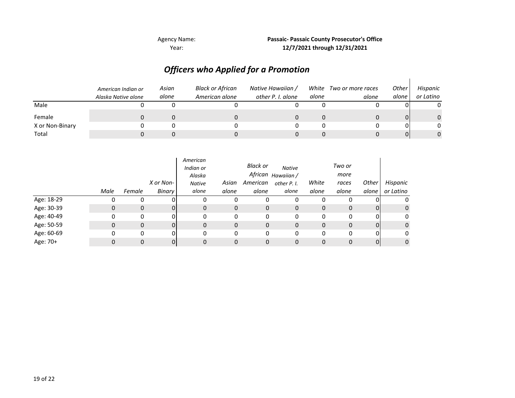**12/7/2021 through 12/31/2021** Agency Name: **Passaic‐ Passaic County Prosecutor's Office**

## *Officers who Applied for <sup>a</sup> Promotion*

|                 | American Indian or<br>Alaska Native alone | Asian<br>alone | Black or African<br>American alone | Native Hawaiian /<br>other P. I. alone | White<br>alone | Two or more races<br>alone | <b>Other</b><br>alone l | Hispanic<br>or Latino |
|-----------------|-------------------------------------------|----------------|------------------------------------|----------------------------------------|----------------|----------------------------|-------------------------|-----------------------|
| Male            |                                           |                |                                    |                                        |                |                            |                         | 0                     |
| Female          |                                           |                |                                    |                                        |                |                            |                         |                       |
| X or Non-Binary |                                           |                |                                    |                                        |                |                            |                         | 0                     |
| Total           |                                           |                |                                    |                                        |                |                            |                         |                       |

|            |      |              | X or Non- | American<br>Indian or<br>Alaska<br>Native | Asian | Black or<br>American | <b>Native</b><br>African <sub>Hawaiian</sub> /<br>other P. I. | White | Two or<br>more<br>races | <b>Other</b> | Hispanic     |
|------------|------|--------------|-----------|-------------------------------------------|-------|----------------------|---------------------------------------------------------------|-------|-------------------------|--------------|--------------|
|            | Male | Female       | Binary    | alone                                     | alone | alone                | alone                                                         | alone | alone                   | alone        | or Latino    |
| Age: 18-29 | υ    | 0            |           | 0                                         | 0     | 0                    | 0                                                             | 0     |                         |              | 0            |
| Age: 30-39 | 0    | $\mathbf{0}$ |           | $\mathbf{0}$                              | 0     | 0                    | 0                                                             | 0     | $\Omega$                | 0            | $\mathbf{0}$ |
| Age: 40-49 | 0    | 0            | nι        | 0                                         | 0     | 0                    | 0                                                             | 0     | $\Omega$                | 01           | 0            |
| Age: 50-59 | 0    | $\mathbf{0}$ |           | $\mathbf{0}$                              | 0     | 0                    | 0                                                             | 0     | 0                       | 0            | $\mathbf{0}$ |
| Age: 60-69 | 0    | 0            | ΩI        | 0                                         | 0     | 0                    | 0                                                             | 0     | $\Omega$                | 0            | 0            |
| Age: 70+   |      | 0            |           | 0                                         | 0     | 0                    | 0                                                             | 0     | $\Omega$                | 0            | $\mathbf 0$  |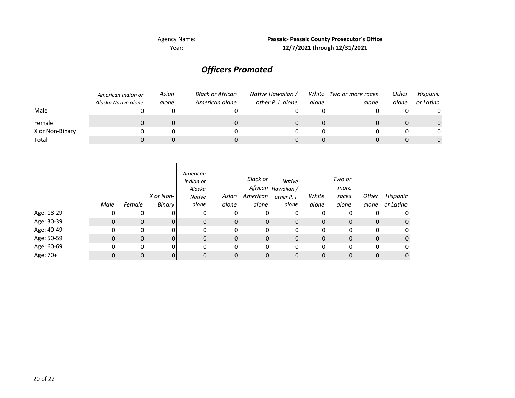**12/7/2021 through 12/31/2021 Passaic‐ Passaic County Prosecutor's Office**

#### *Asian alone White Two or more races aloneOther alone Hispanic or Latino* Male 0 0 00 $\mathbf 0$ Female 0 0 00 $\pmb{0}$ X or Non‐Binary 0 0 00 Total 0 0 00 $\mathsf{O}\xspace$ *American Indian or Alaska Native alone Black or African American alone Native Hawaiian / other P. I. alone alone* 00 0 $\pmb{0}$ 0 00 000 0 $\pmb{0}$ 0 00 0 $\pmb{0}$ 0 0

### *Officers Promoted*

|            | Male         | Female       | X or Non-<br>Binary | American<br>Indian or<br>Alaska<br><b>Native</b><br>alone | Asian<br>alone | Black or<br>American<br>alone | <b>Native</b><br>African <sub>Hawaiian</sub> /<br>other P. I.<br>alone | White<br>alone | Two or<br>more<br>races<br>alone | Other<br>alone | Hispanic<br>or Latino |
|------------|--------------|--------------|---------------------|-----------------------------------------------------------|----------------|-------------------------------|------------------------------------------------------------------------|----------------|----------------------------------|----------------|-----------------------|
| Age: 18-29 | 0            | 0            |                     | 0                                                         | 0              | 0                             | 0                                                                      | 0              | 0                                |                | 0                     |
| Age: 30-39 | $\mathbf{0}$ | $\mathbf{0}$ | 01                  | 0                                                         | $\mathbf 0$    | $\mathbf 0$                   | $\mathbf 0$                                                            | $\mathbf{0}$   | $\mathbf{0}$                     | 0              | $\mathbf{0}$          |
| Age: 40-49 | 0            | 0            | O.                  | 0                                                         | 0              | 0                             | 0                                                                      | 0              | 0                                | ΩI             | 0                     |
| Age: 50-59 | $\mathbf{0}$ | $\mathbf 0$  | $\Omega$            | 0                                                         | $\mathbf 0$    | 0                             | 0                                                                      | 0              | $\mathbf{0}$                     | $\Omega$       | $\mathbf{0}$          |
| Age: 60-69 | 0            | 0            | 0                   | 0                                                         | $\mathbf 0$    | 0                             | 0                                                                      | 0              | 0                                | 0              | 0                     |
| Age: 70+   | 0            | $\mathbf{0}$ | 01                  | 0                                                         | 0              | 0                             | 0                                                                      | 0              | 0                                | $\Omega$       | $\mathbf 0$           |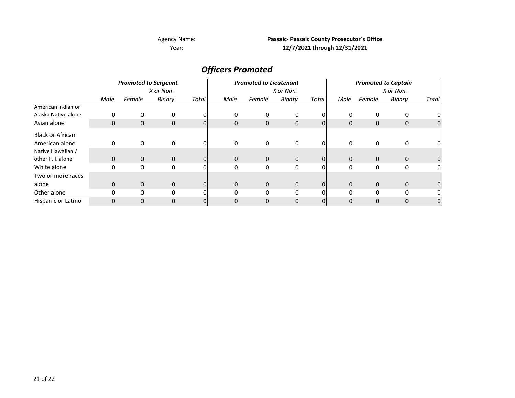#### **Passaic‐ Passaic County Prosecutor's Office 12/7/2021 through 12/31/2021**

### *Officers Promoted*

|                         | <b>Promoted to Sergeant</b><br>X or Non- |              |              |                | <b>Promoted to Lieutenant</b><br>X or Non- |              |        |          | <b>Promoted to Captain</b><br>X or Non- |              |              |                |
|-------------------------|------------------------------------------|--------------|--------------|----------------|--------------------------------------------|--------------|--------|----------|-----------------------------------------|--------------|--------------|----------------|
|                         | Male                                     | Female       | Binary       | Total          | Male                                       | Female       | Binary | Total    | Male                                    | Female       | Binary       | Total          |
| American Indian or      |                                          |              |              |                |                                            |              |        |          |                                         |              |              |                |
| Alaska Native alone     | 0                                        | 0            | 0            | $\Omega$       | 0                                          | 0            | 0      | $\Omega$ | 0                                       | 0            | 0            |                |
| Asian alone             | 0                                        | $\mathbf 0$  | $\mathbf 0$  | $\Omega$       | $\mathbf 0$                                | 0            | 0      | $\Omega$ | $\mathbf 0$                             | 0            | 0            | $\overline{0}$ |
| <b>Black or African</b> |                                          |              |              |                |                                            |              |        |          |                                         |              |              |                |
| American alone          | 0                                        |              | 0            |                |                                            | 0            | 0      | ΩI       | 0                                       | 0            | 0            | 01             |
| Native Hawaiian /       |                                          |              |              |                |                                            |              |        |          |                                         |              |              |                |
| other P. I. alone       | $\mathbf{0}$                             | $\mathbf{0}$ | $\mathbf{0}$ | 0I             | $\mathbf{0}$                               | $\mathbf 0$  | 0      | 01       | $\mathbf 0$                             | $\mathbf{0}$ | $\mathbf{0}$ |                |
| White alone             | 0                                        | $\Omega$     | 0            | $\Omega$       | $\Omega$                                   | 0            | 0      | $\Omega$ | 0                                       | 0            | 0            | $\Omega$       |
| Two or more races       |                                          |              |              |                |                                            |              |        |          |                                         |              |              |                |
| alone                   | $\mathbf{0}$                             | 0            | $\mathbf{0}$ | $\overline{0}$ | $\mathbf 0$                                | $\mathbf{0}$ | 0      | $\Omega$ | $\mathbf 0$                             | $\mathbf 0$  | $\mathbf{0}$ |                |
| Other alone             | 0                                        | 0            | 0            |                | 0                                          | 0            | 0      |          | 0                                       | 0            | 0            |                |
| Hispanic or Latino      | $\Omega$                                 | 0            | $\mathbf 0$  | 0I             | $\Omega$                                   | $\Omega$     | 0      | $\Omega$ | $\mathbf 0$                             | 0            | 0            | $\overline{0}$ |